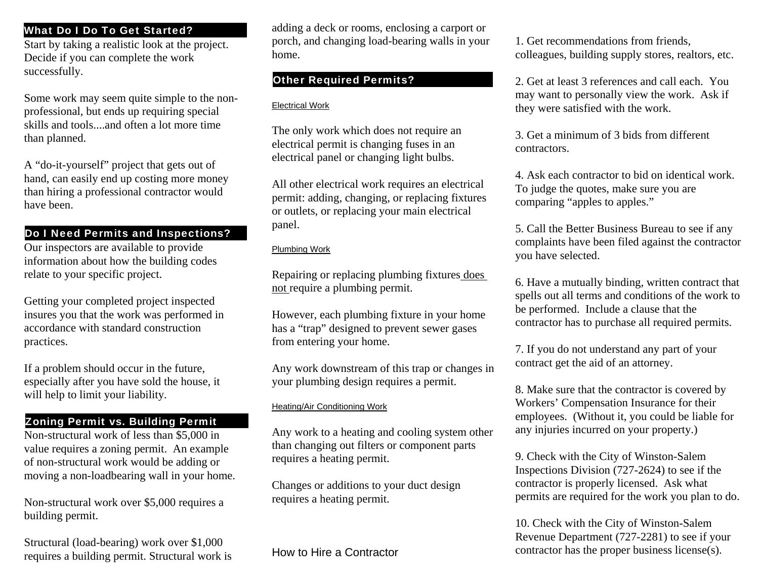# What Do I Do To Get Started?

Start by taking a realistic look at the project. Decide if you can complete the work successfully.

Some work may seem quite simple to the nonprofessional, but ends up requiring special skills and tools....and often a lot more time than planned.

A "do-it-yourself" project that gets out of hand, can easily end up costing more money than hiring a professional contractor would have been.

# Do I Need Permits and Inspections?

Our inspectors are available to provide information about how the building codes relate to your specific project.

Getting your completed project inspected insures you that the work was performed in accordance with standard construction practices.

If a problem should occur in the future, especially after you have sold the house, it will help to limit your liability.

Non-structural work of less than \$5,000 in value requires a zoning permit. An example of non-structural work would be adding or moving a non-loadbearing wall in your home.

Non-structural work over \$5,000 requires a building permit.

Structural (load-bearing) work over \$1,000 requires a building permit. Structural work is adding a deck or rooms, enclosing a carport or porch, and changing load-bearing walls in your home.

### Electrical Work

The only work which does not require an electrical permit is changing fuses in an electrical panel or changing light bulbs.

All other electrical work requires an electrical permit: adding, changing, or replacing fixtures or outlets, or replacing your main electrical panel.

### Plumbing Work

Repairing or replacing plumbing fixtures does not require a plumbing permit.

However, each plumbing fixture in your home has a "trap" designed to prevent sewer gases from entering your home.

Any work downstream of this trap or changes in your plumbing design requires a permit.

## Heating/Air Conditioning Work

than changing out filters or component parts requires a heating permit.

Changes or additions to your duct design requires a heating permit.

How to Hire a Contractor

1. Get recommendations from friends, colleagues, building supply stores, realtors, etc.

Other Required Permits? 2. Get at least 3 references and call each. You may want to personally view the work. Ask if they were satisfied with the work.

> 3. Get a minimum of 3 bids from different contractors.

4. Ask each contractor to bid on identical work. To judge the quotes, make sure you are comparing "apples to apples."

5. Call the Better Business Bureau to see if any complaints have been filed against the contractor you have selected.

6. Have a mutually binding, written contract that spells out all terms and conditions of the work to be performed. Include a clause that the contractor has to purchase all required permits.

7. If you do not understand any part of your contract get the aid of an attorney.

**Zoning Permit vs. Building Permit**<br>Non-structural work of less than \$5,000 in Any work to a heating and cooling system other any injuries incurred on your property.) 8. Make sure that the contractor is covered by Workers' Compensation Insurance for their employees. (Without it, you could be liable for

> 9. Check with the City of Winston-Salem Inspections Division (727-2624) to see if the contractor is properly licensed. Ask what permits are required for the work you plan to do.

10. Check with the City of Winston-Salem Revenue Department (727-2281) to see if your contractor has the proper business license(s).